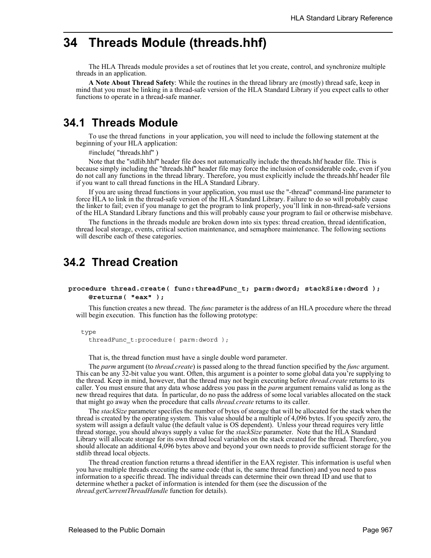# **34 Threads Module (threads.hhf)**

The HLA Threads module provides a set of routines that let you create, control, and synchronize multiple threads in an application.

**A Note About Thread Safety**: While the routines in the thread library are (mostly) thread safe, keep in mind that you must be linking in a thread-safe version of the HLA Standard Library if you expect calls to other functions to operate in a thread-safe manner.

# **34.1 Threads Module**

To use the thread functions in your application, you will need to include the following statement at the beginning of your HLA application:

#include( "threads.hhf" )

Note that the "stdlib.hhf" header file does not automatically include the threads.hhf header file. This is because simply including the "threads.hhf" header file may force the inclusion of considerable code, even if you do not call any functions in the thread library. Therefore, you must explicitly include the threads.hhf header file if you want to call thread functions in the HLA Standard Library.

If you are using thread functions in your application, you must use the "-thread" command-line parameter to force HLA to link in the thread-safe version of the HLA Standard Library. Failure to do so will probably cause the linker to fail; even if you manage to get the program to link properly, you'll link in non-thread-safe versions of the HLA Standard Library functions and this will probably cause your program to fail or otherwise misbehave.

The functions in the threads module are broken down into six types: thread creation, thread identification, thread local storage, events, critical section maintenance, and semaphore maintenance. The following sections will describe each of these categories.

# **34.2 Thread Creation**

## **procedure thread.create( func:threadFunc\_t; parm:dword; stackSize:dword ); @returns( "eax" );**

This function creates a new thread. The *func* parameter is the address of an HLA procedure where the thread will begin execution. This function has the following prototype:

type

threadFunc\_t:procedure( parm:dword );

That is, the thread function must have a single double word parameter.

The *parm* argument (to *thread.create*) is passed along to the thread function specified by the *func* argument. This can be any 32-bit value you want. Often, this argument is a pointer to some global data you're supplying to the thread. Keep in mind, however, that the thread may not begin executing before *thread.create* returns to its caller. You must ensure that any data whose address you pass in the *parm* argument remains valid as long as the new thread requires that data. In particular, do no pass the address of some local variables allocated on the stack that might go away when the procedure that calls *thread.create* returns to its caller.

The *stackSize* parameter specifies the number of bytes of storage that will be allocated for the stack when the thread is created by the operating system. This value should be a multiple of 4,096 bytes. If you specify zero, the system will assign a default value (the default value is OS dependent). Unless your thread requires very little thread storage, you should always supply a value for the *stackSize* parameter. Note that the HLA Standard Library will allocate storage for its own thread local variables on the stack created for the thread. Therefore, you should allocate an additional 4,096 bytes above and beyond your own needs to provide sufficient storage for the stdlib thread local objects.

The thread creation function returns a thread identifier in the EAX register. This information is useful when you have multiple threads executing the same code (that is, the same thread function) and you need to pass information to a specific thread. The individual threads can determine their own thread ID and use that to determine whether a packet of information is intended for them (see the discussion of the *thread.getCurrentThreadHandle* function for details).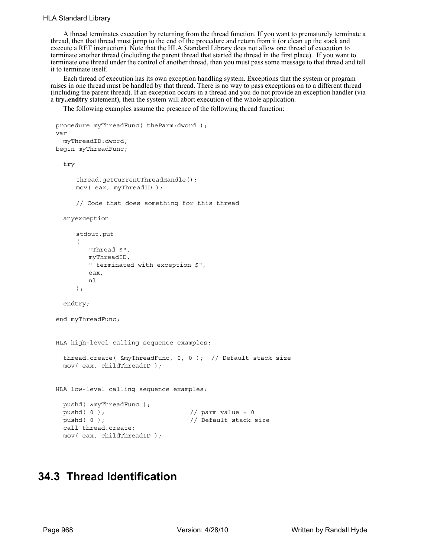## HLA Standard Library

A thread terminates execution by returning from the thread function. If you want to prematurely terminate a thread, then that thread must jump to the end of the procedure and return from it (or clean up the stack and execute a RET instruction). Note that the HLA Standard Library does not allow one thread of execution to terminate another thread (including the parent thread that started the thread in the first place). If you want to terminate one thread under the control of another thread, then you must pass some message to that thread and tell it to terminate itself.

Each thread of execution has its own exception handling system. Exceptions that the system or program raises in one thread must be handled by that thread. There is no way to pass exceptions on to a different thread (including the parent thread). If an exception occurs in a thread and you do not provide an exception handler (via a **try..endtry** statement), then the system will abort execution of the whole application.

The following examples assume the presence of the following thread function:

```
procedure myThreadFunc( theParm:dword );
var
  myThreadID:dword;
begin myThreadFunc;
  try
     thread.getCurrentThreadHandle();
     mov( eax, myThreadID );
     // Code that does something for this thread
  anyexception
     stdout.put
     \left("Thread $", 
        myThreadID, 
        " terminated with exception $", 
        eax,
        nl
     );
  endtry;
end myThreadFunc;
HLA high-level calling sequence examples:
  thread.create( &myThreadFunc, 0, 0 ); // Default stack size
 mov( eax, childThreadID );
HLA low-level calling sequence examples:
 pushd( &myThreadFunc );
 pushd( 0 ); // pairm value = 0
 pushd( 0 ); \frac{1}{2} // Default stack size
 call thread.create;
 mov( eax, childThreadID );
```
# **34.3 Thread Identification**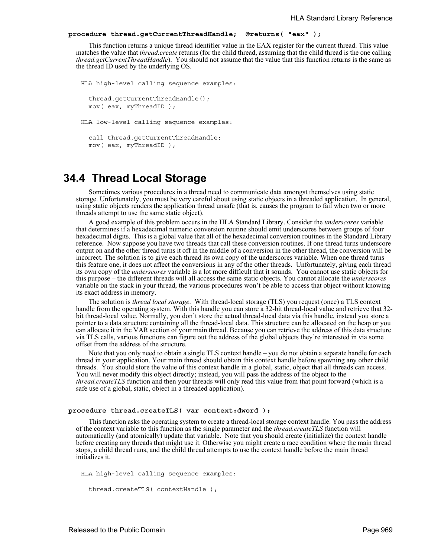## **procedure thread.getCurrentThreadHandle; @returns( "eax" );**

This function returns a unique thread identifier value in the EAX register for the current thread. This value matches the value that *thread.create* returns (for the child thread, assuming that the child thread is the one calling *thread.getCurrentThreadHandle*). You should not assume that the value that this function returns is the same as the thread ID used by the underlying OS.

```
HLA high-level calling sequence examples:
  thread.getCurrentThreadHandle();
 mov( eax, myThreadID );
HLA low-level calling sequence examples:
  call thread.getCurrentThreadHandle;
 mov( eax, myThreadID );
```
# **34.4 Thread Local Storage**

Sometimes various procedures in a thread need to communicate data amongst themselves using static storage. Unfortunately, you must be very careful about using static objects in a threaded application. In general, using static objects renders the application thread unsafe (that is, causes the program to fail when two or more threads attempt to use the same static object).

A good example of this problem occurs in the HLA Standard Library. Consider the *underscores* variable that determines if a hexadecimal numeric conversion routine should emit underscores between groups of four hexadecimal digits. This is a global value that all of the hexadecimal conversion routines in the Standard Library reference. Now suppose you have two threads that call these conversion routines. If one thread turns underscore output on and the other thread turns it off in the middle of a conversion in the other thread, the conversion will be incorrect. The solution is to give each thread its own copy of the underscores variable. When one thread turns this feature one, it does not affect the conversions in any of the other threads. Unfortunately, giving each thread its own copy of the *underscores* variable is a lot more difficult that it sounds. You cannot use static objects for this purpose – the different threads will all access the same static objects. You cannot allocate the *underscores* variable on the stack in your thread, the various procedures won't be able to access that object without knowing its exact address in memory.

The solution is *thread local storage*. With thread-local storage (TLS) you request (once) a TLS context handle from the operating system. With this handle you can store a 32-bit thread-local value and retrieve that 32 bit thread-local value. Normally, you don't store the actual thread-local data via this handle, instead you store a pointer to a data structure containing all the thread-local data. This structure can be allocated on the heap or you can allocate it in the VAR section of your main thread. Because you can retrieve the address of this data structure via TLS calls, various functions can figure out the address of the global objects they're interested in via some offset from the address of the structure.

Note that you only need to obtain a single TLS context handle – you do not obtain a separate handle for each thread in your application. Your main thread should obtain this context handle before spawning any other child threads. You should store the value of this context handle in a global, static, object that all threads can access. You will never modify this object directly; instead, you will pass the address of the object to the *thread.createTLS* function and then your threads will only read this value from that point forward (which is a safe use of a global, static, object in a threaded application).

### **procedure thread.createTLS( var context:dword );**

This function asks the operating system to create a thread-local storage context handle. You pass the address of the context variable to this function as the single parameter and the *thread.createTLS* function will automatically (and atomically) update that variable. Note that you should create (initialize) the context handle before creating any threads that might use it. Otherwise you might create a race condition where the main thread stops, a child thread runs, and the child thread attempts to use the context handle before the main thread initializes it.

```
HLA high-level calling sequence examples:
```

```
thread.createTLS( contextHandle );
```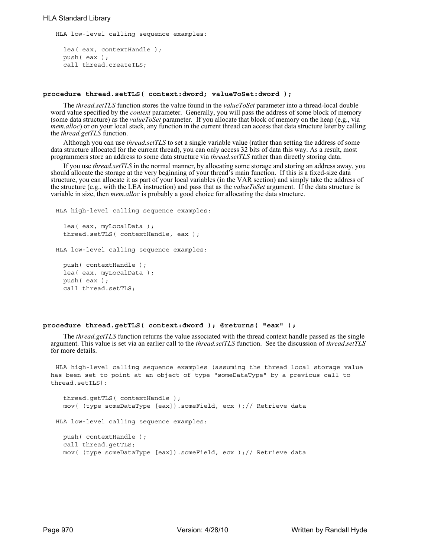HLA low-level calling sequence examples:

```
lea( eax, contextHandle );
push( eax );
call thread.createTLS;
```
### **procedure thread.setTLS( context:dword; valueToSet:dword );**

The *thread.setTLS* function stores the value found in the *valueToSet* parameter into a thread-local double word value specified by the *context* parameter. Generally, you will pass the address of some block of memory (some data structure) as the *valueToSet* parameter. If you allocate that block of memory on the heap (e.g., via *mem.alloc*) or on your local stack, any function in the current thread can access that data structure later by calling the *thread.getTLS* function.

Although you can use *thread.setTLS* to set a single variable value (rather than setting the address of some data structure allocated for the current thread), you can only access 32 bits of data this way. As a result, most programmers store an address to some data structure via *thread.setTLS* rather than directly storing data.

If you use *thread.setTLS* in the normal manner, by allocating some storage and storing an address away, you should allocate the storage at the very beginning of your thread's main function. If this is a fixed-size data structure, you can allocate it as part of your local variables (in the VAR section) and simply take the address of the structure (e.g., with the LEA instruction) and pass that as the *valueToSet* argument. If the data structure is variable in size, then *mem.alloc* is probably a good choice for allocating the data structure.

```
HLA high-level calling sequence examples:
  lea( eax, myLocalData );
  thread.setTLS( contextHandle, eax );
HLA low-level calling sequence examples:
  push( contextHandle );
  lea( eax, myLocalData );
  push( eax );
  call thread.setTLS;
```
## **procedure thread.getTLS( context:dword ); @returns( "eax" );**

The *thread.getTLS* function returns the value associated with the thread context handle passed as the single argument. This value is set via an earlier call to the *thread.setTLS* function. See the discussion of *thread.setTLS* for more details.

HLA high-level calling sequence examples (assuming the thread local storage value has been set to point at an object of type "someDataType" by a previous call to thread.setTLS):

```
thread.getTLS( contextHandle );
  mov( (type someDataType [eax]).someField, ecx );// Retrieve data
HLA low-level calling sequence examples:
 push( contextHandle );
 call thread.getTLS;
 mov( (type someDataType [eax]).someField, ecx );// Retrieve data
```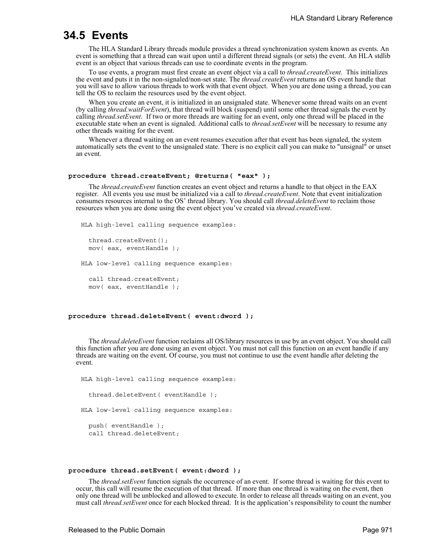# **34.5 Events**

The HLA Standard Library threads module provides a thread synchronization system known as events. An event is something that a thread can wait upon until a different thread signals (or sets) the event. An HLA stdlib event is an object that various threads can use to coordinate events in the program.

To use events, a program must first create an event object via a call to *thread.createEvent*. This initializes the event and puts it in the non-signaled/non-set state. The *thread.createEvent* returns an OS event handle that you will save to allow various threads to work with that event object. When you are done using a thread, you can tell the OS to reclaim the resources used by the event object.

When you create an event, it is initialized in an unsignaled state. Whenever some thread waits on an event (by calling *thread.waitForEvent*), that thread will block (suspend) until some other thread signals the event by calling *thread.setEvent*. If two or more threads are waiting for an event, only one thread will be placed in the executable state when an event is signaled. Additional calls to *thread.setEvent* will be necessary to resume any other threads waiting for the event.

Whenever a thread waiting on an event resumes execution after that event has been signaled, the system automatically sets the event to the unsignaled state. There is no explicit call you can make to "unsignal" or unset an event.

### **procedure thread.createEvent; @returns( "eax" );**

The *thread.createEvent* function creates an event object and returns a handle to that object in the EAX register. All events you use must be initialized via a call to *thread.createEvent*. Note that event initialization consumes resources internal to the OS' thread library. You should call *thread.deleteEvent* to reclaim those resources when you are done using the event object you've created via *thread.createEvent*.

```
HLA high-level calling sequence examples:
```

```
thread.createEvent();
mov( eax, eventHandle );
```
HLA low-level calling sequence examples:

```
call thread.createEvent;
mov( eax, eventHandle );
```
### **procedure thread.deleteEvent( event:dword );**

The *thread.deleteEvent* function reclaims all OS/library resources in use by an event object. You should call this function after you are done using an event object. You must not call this function on an event handle if any threads are waiting on the event. Of course, you must not continue to use the event handle after deleting the event.

```
HLA high-level calling sequence examples:
  thread.deleteEvent( eventHandle );
HLA low-level calling sequence examples:
 push( eventHandle );
  call thread.deleteEvent;
```
#### **procedure thread.setEvent( event:dword );**

The *thread.setEvent* function signals the occurrence of an event. If some thread is waiting for this event to occur, this call will resume the execution of that thread. If more than one thread is waiting on the event, then only one thread will be unblocked and allowed to execute. In order to release all threads waiting on an event, you must call *thread.setEvent* once for each blocked thread. It is the application's responsibility to count the number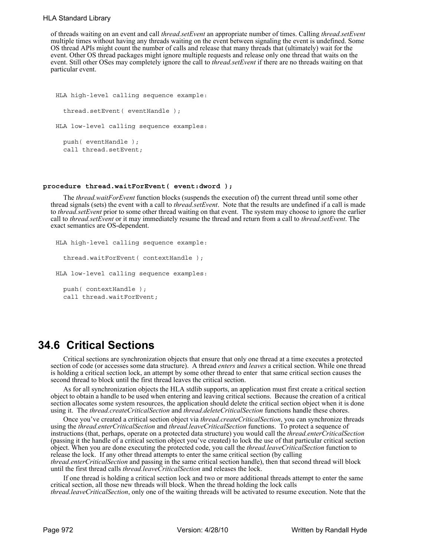## HLA Standard Library

of threads waiting on an event and call *thread.setEvent* an appropriate number of times. Calling *thread.setEvent* multiple times without having any threads waiting on the event between signaling the event is undefined. Some OS thread APIs might count the number of calls and release that many threads that (ultimately) wait for the event. Other OS thread packages might ignore multiple requests and release only one thread that waits on the event. Still other OSes may completely ignore the call to *thread.setEvent* if there are no threads waiting on that particular event.

```
HLA high-level calling sequence example:
  thread.setEvent( eventHandle );
HLA low-level calling sequence examples:
  push( eventHandle );
  call thread.setEvent;
```
## **procedure thread.waitForEvent( event:dword );**

The *thread.waitForEvent* function blocks (suspends the execution of) the current thread until some other thread signals (sets) the event with a call to *thread.setEvent*. Note that the results are undefined if a call is made to *thread.setEvent* prior to some other thread waiting on that event. The system may choose to ignore the earlier call to *thread.setEvent* or it may immediately resume the thread and return from a call to *thread.setEvent*. The exact semantics are OS-dependent.

```
HLA high-level calling sequence example:
  thread.waitForEvent( contextHandle );
HLA low-level calling sequence examples:
  push( contextHandle );
  call thread.waitForEvent;
```
# **34.6 Critical Sections**

Critical sections are synchronization objects that ensure that only one thread at a time executes a protected section of code (or accesses some data structure). A thread *enters* and *leaves* a critical section. While one thread is holding a critical section lock, an attempt by some other thread to enter that same critical section causes the second thread to block until the first thread leaves the critical section.

As for all synchronization objects the HLA stdlib supports, an application must first create a critical section object to obtain a handle to be used when entering and leaving critical sections. Because the creation of a critical section allocates some system resources, the application should delete the critical section object when it is done using it. The *thread.createCriticalSection* and *thread.deleteCriticalSection* functions handle these chores.

Once you've created a critical section object via *thread.createCriticalSection*, you can synchronize threads using the *thread.enterCriticalSection* and *thread.leaveCriticalSection* functions. To protect a sequence of instructions (that, perhaps, operate on a protected data structure) you would call the *thread.enterCriticalSection* (passing it the handle of a critical section object you've created) to lock the use of that particular critical section object. When you are done executing the protected code, you call the *thread.leaveCriticalSection* function to release the lock. If any other thread attempts to enter the same critical section (by calling *thread.enterCriticalSection* and passing in the same critical section handle), then that second thread will block

until the first thread calls *thread.leaveCriticalSection* and releases the lock.

If one thread is holding a critical section lock and two or more additional threads attempt to enter the same critical section, all those new threads will block. When the thread holding the lock calls

*thread.leaveCriticalSection*, only one of the waiting threads will be activated to resume execution. Note that the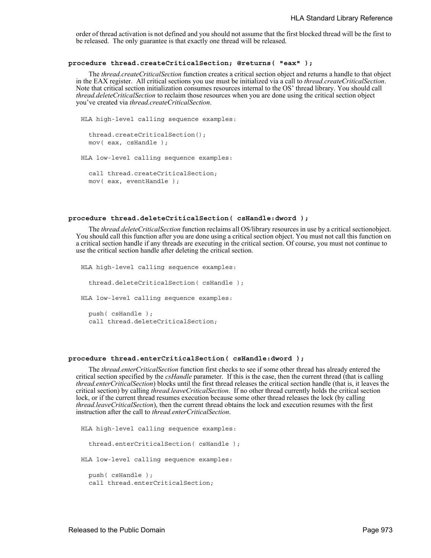order of thread activation is not defined and you should not assume that the first blocked thread will be the first to be released. The only guarantee is that exactly one thread will be released.

### **procedure thread.createCriticalSection; @returns( "eax" );**

The *thread.createCriticalSection* function creates a critical section object and returns a handle to that object in the EAX register. All critical sections you use must be initialized via a call to *thread.createCriticalSection*. Note that critical section initialization consumes resources internal to the OS' thread library. You should call *thread.deleteCriticalSection* to reclaim those resources when you are done using the critical section object you've created via *thread.createCriticalSection*.

```
HLA high-level calling sequence examples:
  thread.createCriticalSection();
 mov( eax, csHandle );
HLA low-level calling sequence examples:
  call thread.createCriticalSection;
 mov( eax, eventHandle );
```
## **procedure thread.deleteCriticalSection( csHandle:dword );**

The *thread.deleteCriticalSection* function reclaims all OS/library resources in use by a critical sectionobject. You should call this function after you are done using a critical section object. You must not call this function on a critical section handle if any threads are executing in the critical section. Of course, you must not continue to use the critical section handle after deleting the critical section.

```
HLA high-level calling sequence examples:
  thread.deleteCriticalSection( csHandle );
HLA low-level calling sequence examples:
 push( csHandle );
  call thread.deleteCriticalSection;
```
### **procedure thread.enterCriticalSection( csHandle:dword );**

The *thread.enterCriticalSection* function first checks to see if some other thread has already entered the critical section specified by the *csHandle* parameter. If this is the case, then the current thread (that is calling *thread.enterCriticalSection*) blocks until the first thread releases the critical section handle (that is, it leaves the critical section) by calling *thread.leaveCriticalSection*. If no other thread currently holds the critical section lock, or if the current thread resumes execution because some other thread releases the lock (by calling *thread.leaveCriticalSection*), then the current thread obtains the lock and execution resumes with the first instruction after the call to *thread.enterCriticalSection*.

```
HLA high-level calling sequence examples:
  thread.enterCriticalSection( csHandle );
HLA low-level calling sequence examples:
  push( csHandle );
  call thread.enterCriticalSection;
```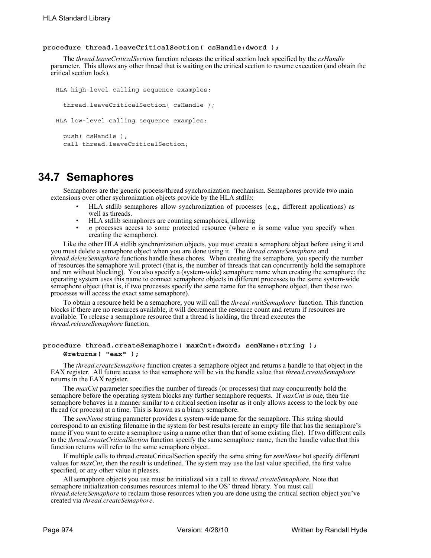## **procedure thread.leaveCriticalSection( csHandle:dword );**

The *thread.leaveCriticalSection* function releases the critical section lock specified by the *csHandle* parameter. This allows any other thread that is waiting on the critical section to resume execution (and obtain the critical section lock).

```
HLA high-level calling sequence examples:
  thread.leaveCriticalSection( csHandle );
HLA low-level calling sequence examples:
  push( csHandle );
  call thread.leaveCriticalSection;
```
# **34.7 Semaphores**

Semaphores are the generic process/thread synchronization mechanism. Semaphores provide two main extensions over other sychronization objects provide by the HLA stdlib:

- HLA stdlib semaphores allow synchronization of processes (e.g., different applications) as well as threads.
- HLA stdlib semaphores are counting semaphores, allowing
- *n* processes access to some protected resource (where *n* is some value you specify when creating the semaphore).

Like the other HLA stdlib synchronization objects, you must create a semaphore object before using it and you must delete a semaphore object when you are done using it. The *thread.createSemaphore* and *thread.deleteSemaphore* functions handle these chores. When creating the semaphore, you specify the number of resources the semaphore will protect (that is, the number of threads that can concurrently hold the semaphore and run without blocking). You also specify a (system-wide) semaphore name when creating the semaphore; the operating system uses this name to connect semaphore objects in different processes to the same system-wide semaphore object (that is, if two processes specify the same name for the semaphore object, then those two processes will access the exact same semaphore).

To obtain a resource held be a semaphore, you will call the *thread.waitSemaphore* function. This function blocks if there are no resources available, it will decrement the resource count and return if resources are available. To release a semaphore resource that a thread is holding, the thread executes the *thread.releaseSemaphore* function.

## **procedure thread.createSemaphore( maxCnt:dword; semName:string ); @returns( "eax" );**

The *thread.createSemaphore* function creates a semaphore object and returns a handle to that object in the EAX register. All future access to that semaphore will be via the handle value that *thread.createSemaphore* returns in the EAX register.

The *maxCnt* parameter specifies the number of threads (or processes) that may concurrently hold the semaphore before the operating system blocks any further semaphore requests. If *maxCnt* is one, then the semaphore behaves in a manner similar to a critical section insofar as it only allows access to the lock by one thread (or process) at a time. This is known as a binary semaphore.

The *semName* string parameter provides a system-wide name for the semaphore. This string should correspond to an existing filename in the system for best results (create an empty file that has the semaphore's name if you want to create a semaphore using a name other than that of some existing file). If two different calls to the *thread.createCriticalSection* function specify the same semaphore name, then the handle value that this function returns will refer to the same semaphore object.

If multiple calls to thread.createCriticalSection specify the same string for *semName* but specify different values for *maxCnt*, then the result is undefined. The system may use the last value specified, the first value specified, or any other value it pleases.

All semaphore objects you use must be initialized via a call to *thread.createSemaphore*. Note that semaphore initialization consumes resources internal to the OS' thread library. You must call *thread.deleteSemaphore* to reclaim those resources when you are done using the critical section object you've created via *thread.createSemaphore*.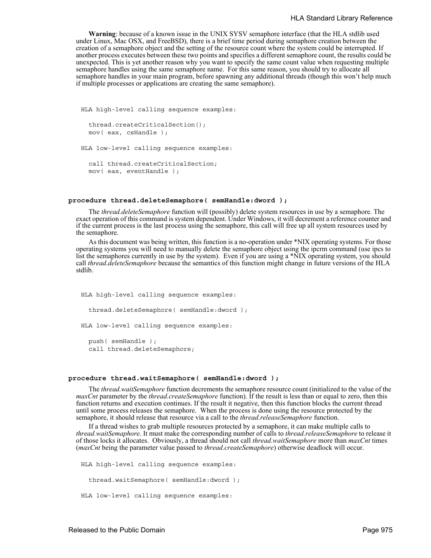**Warning**: because of a known issue in the UNIX SYSV semaphore interface (that the HLA stdlib used under Linux, Mac OSX, and FreeBSD), there is a brief time period during semaphore creation between the creation of a semaphore object and the setting of the resource count where the system could be interrupted. If another process executes between these two points and specifies a different semaphore count, the results could be unexpected. This is yet another reason why you want to specify the same count value when requesting multiple semaphore handles using the same semaphore name. For this same reason, you should try to allocate all semaphore handles in your main program, before spawning any additional threads (though this won't help much if multiple processes or applications are creating the same semaphore).

```
HLA high-level calling sequence examples:
  thread.createCriticalSection();
 mov( eax, csHandle );
HLA low-level calling sequence examples:
  call thread.createCriticalSection;
 mov( eax, eventHandle );
```
## **procedure thread.deleteSemaphore( semHandle:dword );**

The *thread.deleteSemaphore* function will (possibly) delete system resources in use by a semaphore. The exact operation of this command is system dependent. Under Windows, it will decrement a reference counter and if the current process is the last process using the semaphore, this call will free up all system resources used by the semaphore.

As this document was being written, this function is a no-operation under \*NIX operating systems. For those operating systems you will need to manually delete the semaphore object using the ipcrm command (use ipcs to list the semaphores currently in use by the system). Even if you are using a \*NIX operating system, you should call *thread.deleteSemaphore* because the semantics of this function might change in future versions of the HLA stdlib.

```
HLA high-level calling sequence examples:
  thread.deleteSemaphore( semHandle:dword );
HLA low-level calling sequence examples:
 push( semHandle );
 call thread.deleteSemaphore;
```
### **procedure thread.waitSemaphore( semHandle:dword );**

The *thread.waitSemaphore* function decrements the semaphore resource count (initialized to the value of the *maxCnt* parameter by the *thread.createSemaphore* function). If the result is less than or equal to zero, then this function returns and execution continues. If the result it negative, then this function blocks the current thread until some process releases the semaphore. When the process is done using the resource protected by the semaphore, it should release that resource via a call to the *thread.releaseSemaphore* function.

If a thread wishes to grab multiple resources protected by a semaphore, it can make multiple calls to *thread.waitSemaphore*. It must make the corresponding number of calls to *thread.releaseSemaphore* to release it of those locks it allocates. Obviously, a thread should not call *thread.waitSemaphore* more than *maxCnt* times (*maxCnt* being the parameter value passed to *thread.createSemaphore*) otherwise deadlock will occur.

```
HLA high-level calling sequence examples:
  thread.waitSemaphore( semHandle:dword );
HLA low-level calling sequence examples:
```